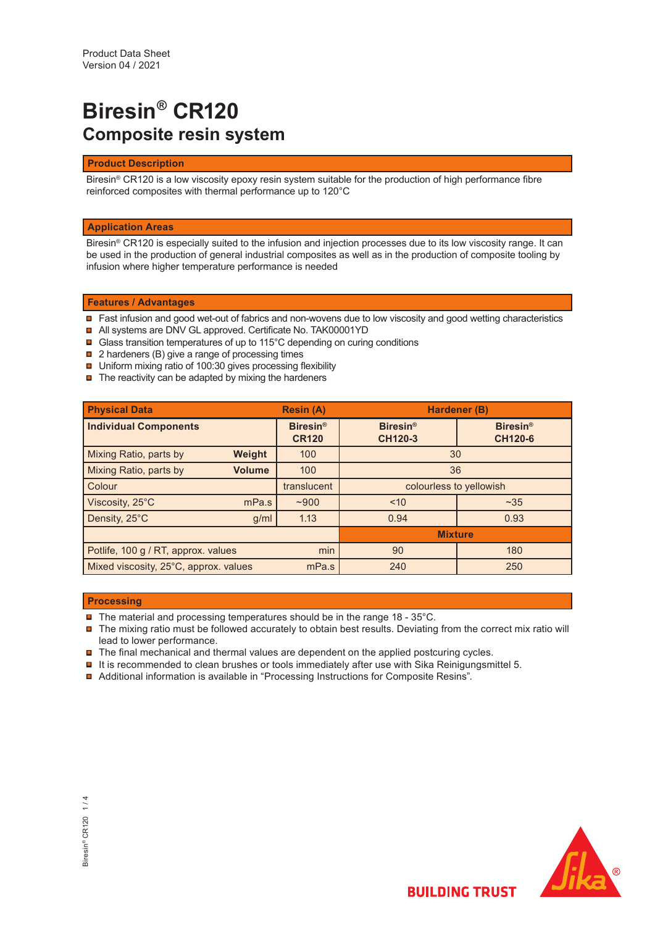# **Biresin® CR120 Composite resin system**

## **Product Description**

Biresin® CR120 is a low viscosity epoxy resin system suitable for the production of high performance fibre reinforced composites with thermal performance up to 120°C

## **Application Areas**

Biresin® CR120 is especially suited to the infusion and injection processes due to its low viscosity range. It can be used in the production of general industrial composites as well as in the production of composite tooling by infusion where higher temperature performance is needed

## **Features / Advantages**

- Fast infusion and good wet-out of fabrics and non-wovens due to low viscosity and good wetting characteristics
- All systems are DNV GL approved. Certificate No. TAK00001YD
- **□ Glass transition temperatures of up to 115°C depending on curing conditions**
- $\textcolor{red}{\blacksquare}$  2 hardeners (B) give a range of processing times
- Uniform mixing ratio of 100:30 gives processing flexibility
- $\blacksquare$  The reactivity can be adapted by mixing the hardeners

| <b>Physical Data</b>                       |               | <b>Resin (A)</b>                | Hardener (B)                      |                                   |
|--------------------------------------------|---------------|---------------------------------|-----------------------------------|-----------------------------------|
| <b>Individual Components</b>               |               | <b>Biresin®</b><br><b>CR120</b> | <b>Biresin®</b><br><b>CH120-3</b> | <b>Biresin®</b><br><b>CH120-6</b> |
| Mixing Ratio, parts by                     | Weight        | 100                             | 30                                |                                   |
| Mixing Ratio, parts by                     | <b>Volume</b> | 100                             | 36                                |                                   |
| Colour                                     |               | translucent                     | colourless to yellowish           |                                   |
| Viscosity, 25°C                            | mPa.s         | ~1000                           | ~235<br>~10                       |                                   |
| Density, 25°C                              | g/ml          | 1.13                            | 0.94                              | 0.93                              |
|                                            |               | <b>Mixture</b>                  |                                   |                                   |
| min<br>Potlife, 100 g / RT, approx. values |               | 90                              | 180                               |                                   |
| Mixed viscosity, 25°C, approx. values      |               | mPa.s                           | 240                               | 250                               |

### **Processing**

- The material and processing temperatures should be in the range 18 35°C.
- The mixing ratio must be followed accurately to obtain best results. Deviating from the correct mix ratio will lead to lower performance.
- $\blacksquare$  The final mechanical and thermal values are dependent on the applied postcuring cycles.
- $\blacksquare$  It is recommended to clean brushes or tools immediately after use with Sika Reinigungsmittel 5.
- Additional information is available in "Processing Instructions for Composite Resins".

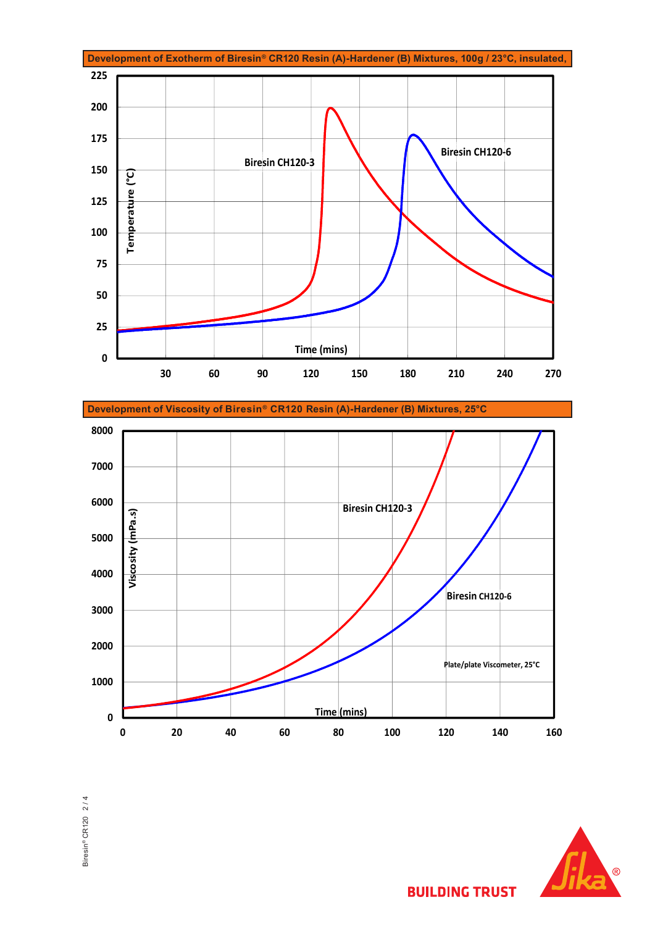

**Development of Viscosity of Biresin® CR120 Resin (A)-Hardener (B) Mixtures, 25°C**







**BUILDING TRUST**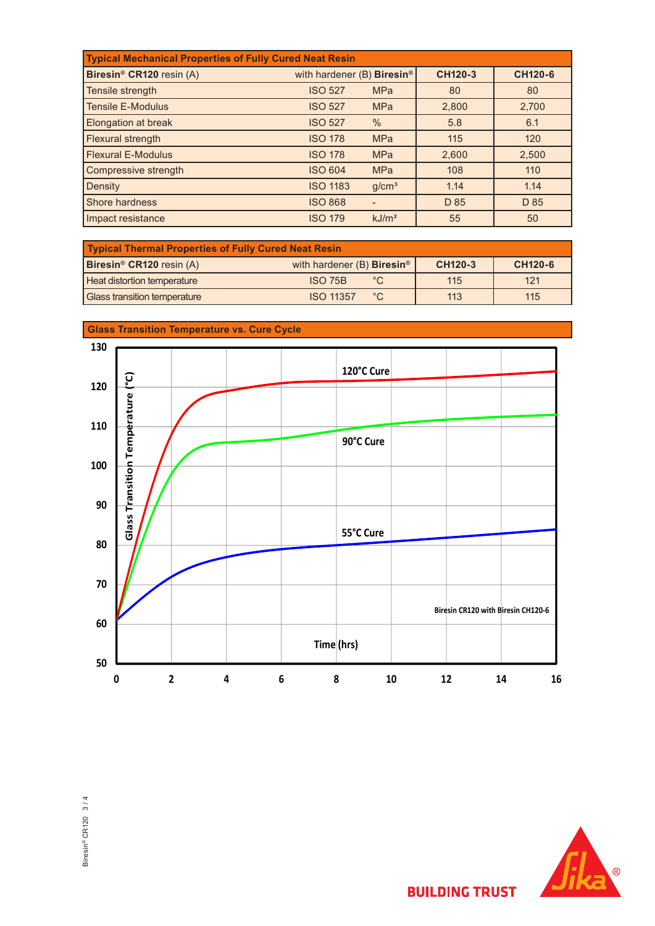| <b>Typical Mechanical Properties of Fully Cured Neat Resin</b> |                                        |                   |                |                |  |
|----------------------------------------------------------------|----------------------------------------|-------------------|----------------|----------------|--|
| Biresin <sup>®</sup> CR120 resin (A)                           | with hardener (B) Biresin <sup>®</sup> |                   | <b>CH120-3</b> | <b>CH120-6</b> |  |
| Tensile strength                                               | <b>ISO 527</b>                         | <b>MPa</b>        | 80             | 80             |  |
| <b>Tensile E-Modulus</b>                                       | <b>ISO 527</b>                         | <b>MPa</b>        | 2,800          | 2,700          |  |
| <b>Elongation at break</b>                                     | <b>ISO 527</b>                         | $\frac{0}{0}$     | 5.8            | 6.1            |  |
| Flexural strength                                              | <b>ISO 178</b>                         | <b>MPa</b>        | 115            | 120            |  |
| <b>Flexural E-Modulus</b>                                      | <b>ISO 178</b>                         | <b>MPa</b>        | 2,600          | 2,500          |  |
| Compressive strength                                           | <b>ISO 604</b>                         | <b>MPa</b>        | 108            | 110            |  |
| <b>Density</b>                                                 | <b>ISO 1183</b>                        | g/cm <sup>3</sup> | 1.14           | 1.14           |  |
| Shore hardness                                                 | <b>ISO 868</b>                         |                   | D 85           | D 85           |  |
| Impact resistance                                              | <b>ISO 179</b>                         | kJ/m <sup>2</sup> | 55             | 50             |  |

| Typical Thermal Properties of Fully Cured Neat Resin |                                               |         |         |  |  |  |
|------------------------------------------------------|-----------------------------------------------|---------|---------|--|--|--|
| Biresin <sup>®</sup> CR120 resin (A)                 | with hardener (B) <b>Biresin</b> <sup>®</sup> | CH120-3 | CH120-6 |  |  |  |
| Heat distortion temperature                          | $^{\circ}$ C.<br>ISO 75B                      | 115     | 121     |  |  |  |
| <b>Glass transition temperature</b>                  | <b>ISO 11357</b><br>$^{\circ}$ C              | 113     | 115     |  |  |  |





**BUILDING TRUST**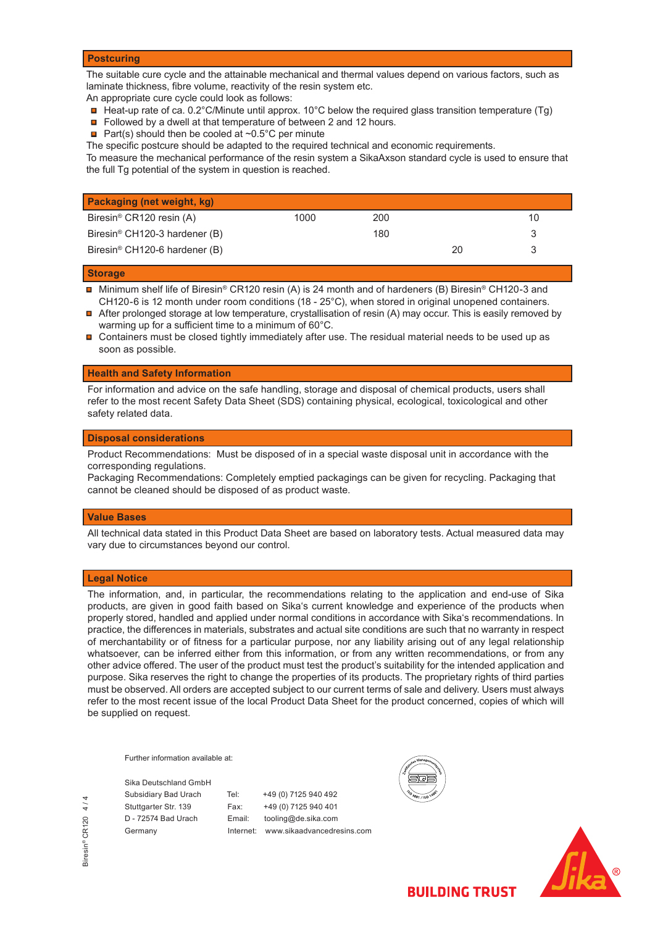### **Postcuring**

The suitable cure cycle and the attainable mechanical and thermal values depend on various factors, such as laminate thickness, fibre volume, reactivity of the resin system etc.

An appropriate cure cycle could look as follows:

- $\blacksquare$  Heat-up rate of ca. 0.2°C/Minute until approx. 10°C below the required glass transition temperature (Tg)
- Followed by a dwell at that temperature of between 2 and 12 hours.
- **Part(s)** should then be cooled at  $\sim 0.5^{\circ}$ C per minute

The specific postcure should be adapted to the required technical and economic requirements.

To measure the mechanical performance of the resin system a SikaAxson standard cycle is used to ensure that the full Tg potential of the system in question is reached.

| Packaging (net weight, kg)                |      |     |    |    |
|-------------------------------------------|------|-----|----|----|
| Biresin <sup>®</sup> CR120 resin (A)      | 1000 | 200 |    | 10 |
| Biresin <sup>®</sup> CH120-3 hardener (B) |      | 180 |    |    |
| Biresin <sup>®</sup> CH120-6 hardener (B) |      |     | 20 |    |

#### **Storage**

- $\blacksquare$ Minimum shelf life of Biresin® CR120 resin (A) is 24 month and of hardeners (B) Biresin® CH120-3 and CH120-6 is 12 month under room conditions (18 - 25°C), when stored in original unopened containers.
- After prolonged storage at low temperature, crystallisation of resin (A) may occur. This is easily removed by warming up for a sufficient time to a minimum of 60°C.
- $\blacksquare$  Containers must be closed tightly immediately after use. The residual material needs to be used up as soon as possible.

### **Health and Safety Information**

For information and advice on the safe handling, storage and disposal of chemical products, users shall refer to the most recent Safety Data Sheet (SDS) containing physical, ecological, toxicological and other safety related data.

### **Disposal considerations**

Product Recommendations: Must be disposed of in a special waste disposal unit in accordance with the corresponding regulations.

Packaging Recommendations: Completely emptied packagings can be given for recycling. Packaging that cannot be cleaned should be disposed of as product waste.

#### **Value Bases**

All technical data stated in this Product Data Sheet are based on laboratory tests. Actual measured data may vary due to circumstances beyond our control.

## **Legal Notice**

The information, and, in particular, the recommendations relating to the application and end-use of Sika products, are given in good faith based on Sika's current knowledge and experience of the products when properly stored, handled and applied under normal conditions in accordance with Sika's recommendations. In practice, the differences in materials, substrates and actual site conditions are such that no warranty in respect of merchantability or of fitness for a particular purpose, nor any liability arising out of any legal relationship whatsoever, can be inferred either from this information, or from any written recommendations, or from any other advice offered. The user of the product must test the product's suitability for the intended application and purpose. Sika reserves the right to change the properties of its products. The proprietary rights of third parties must be observed. All orders are accepted subject to our current terms of sale and delivery. Users must always refer to the most recent issue of the local Product Data Sheet for the product concerned, copies of which will be supplied on request.

Further information available at:

Sika Deutschland GmbH

Subsidiary Bad Urach Tel: +49 (0) 7125 940 492 Stuttgarter Str. 139 Fax: +49 (0) 7125 940 401 D - 72574 Bad Urach Email: tooling@de.sika.com Germany Internet: www.sikaadvancedresins.com





**BUILDING TRUST**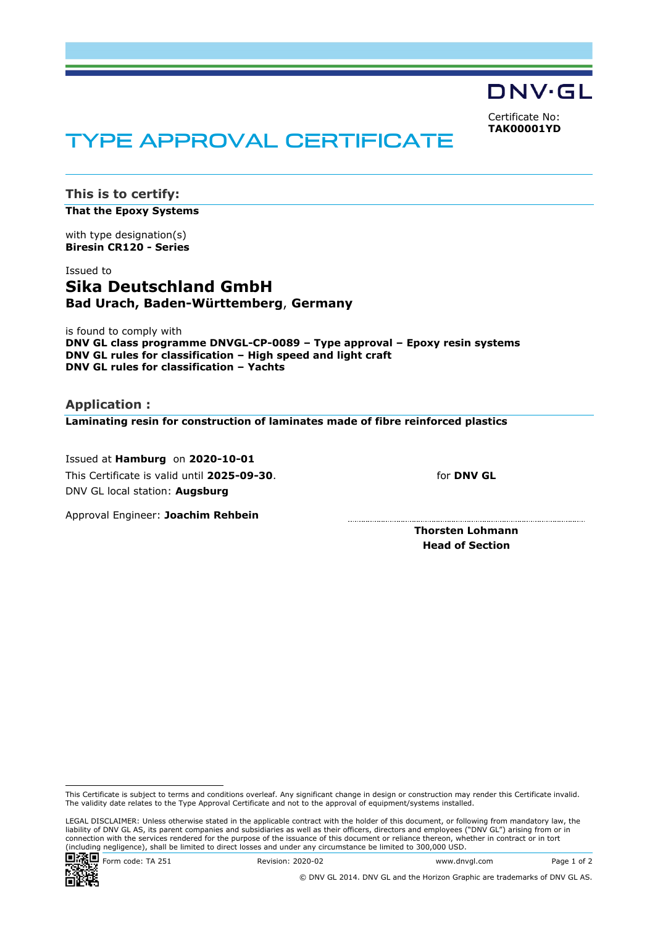DNV·GL

Certificate No: **TAK00001YD**

# TYPE APPROVAL CERTIFICATE

**This is to certify: That the Epoxy Systems**

with type designation(s) **Biresin CR120 - Series**

# Issued to **Sika Deutschland GmbH Bad Urach, Baden-Württemberg**, **Germany**

is found to comply with **DNV GL class programme DNVGL-CP-0089 – Type approval – Epoxy resin systems DNV GL rules for classification – High speed and light craft DNV GL rules for classification – Yachts**

**Application : Laminating resin for construction of laminates made of fibre reinforced plastics**

 Issued at **Hamburg** on **2020-10-01** This Certificate is valid until **2025-09-30**. DNV GL local station: **Augsburg**

for **DNV GL**

Approval Engineer: **Joachim Rehbein**

**Thorsten Lohmann Head of Section**

LEGAL DISCLAIMER: Unless otherwise stated in the applicable contract with the holder of this document, or following from mandatory law, the liability of DNV GL AS, its parent companies and subsidiaries as well as their officers, directors and employees ("DNV GL") arising from or in connection with the services rendered for the purpose of the issuance of this document or reliance thereon, whether in contract or in tort (including negligence), shall be limited to direct losses and under any circumstance be limited to 300,000 USD.



© DNV GL 2014. DNV GL and the Horizon Graphic are trademarks of DNV GL AS.

This Certificate is subject to terms and conditions overleaf. Any significant change in design or construction may render this Certificate invalid. The validity date relates to the Type Approval Certificate and not to the approval of equipment/systems installed.